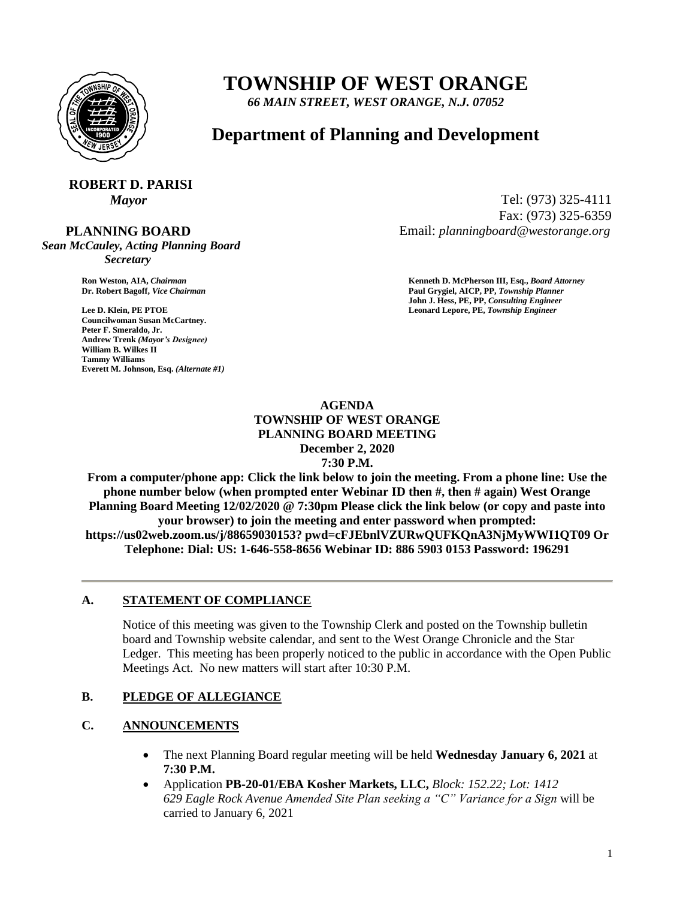

# **TOWNSHIP OF WEST ORANGE**

*66 MAIN STREET, WEST ORANGE, N.J. 07052*

# **Department of Planning and Development**

# **ROBERT D. PARISI**

#### **PLANNING BOARD**

*Sean McCauley, Acting Planning Board Secretary*

**Councilwoman Susan McCartney. Peter F. Smeraldo, Jr. Andrew Trenk** *(Mayor's Designee)* **William B. Wilkes II Tammy Williams Everett M. Johnson, Esq.** *(Alternate #1)*

*Mayor* Tel: (973) 325-4111 Fax: (973) 325-6359 Email: *planningboard@westorange.org*

**Ron Weston, AIA,** *Chairman* **<b>Kenneth D. McPherson III, Esq.,** *Board Attorney* **Criminal Community Community Community Community Community Community Community Community Community Community Community Community Community Co Dr. Robert Bagoff,** *Vice Chairman* **Paul Grygiel, AICP, PP,** *Township Planner* **John J. Hess, PE, PP,** *Consulting Engineer* **Lee D. Klein, PE PTOE Leonard Lepore, PE,** *Township Engineer*

#### **AGENDA TOWNSHIP OF WEST ORANGE PLANNING BOARD MEETING December 2, 2020 7:30 P.M.**

**From a computer/phone app: Click the link below to join the meeting. From a phone line: Use the phone number below (when prompted enter Webinar ID then #, then # again) West Orange Planning Board Meeting 12/02/2020 @ 7:30pm Please click the link below (or copy and paste into your browser) to join the meeting and enter password when prompted: https://us02web.zoom.us/j/88659030153? pwd=cFJEbnlVZURwQUFKQnA3NjMyWWI1QT09 Or Telephone: Dial: US: 1-646-558-8656 Webinar ID: 886 5903 0153 Password: 196291**

#### **A. STATEMENT OF COMPLIANCE**

Notice of this meeting was given to the Township Clerk and posted on the Township bulletin board and Township website calendar, and sent to the West Orange Chronicle and the Star Ledger. This meeting has been properly noticed to the public in accordance with the Open Public Meetings Act. No new matters will start after 10:30 P.M.

## **B. PLEDGE OF ALLEGIANCE**

## **C. ANNOUNCEMENTS**

- The next Planning Board regular meeting will be held **Wednesday January 6, 2021** at **7:30 P.M.**
- Application **PB-20-01/EBA Kosher Markets, LLC,** *Block: 152.22; Lot: 1412 629 Eagle Rock Avenue Amended Site Plan seeking a "C" Variance for a Sign* will be carried to January 6, 2021